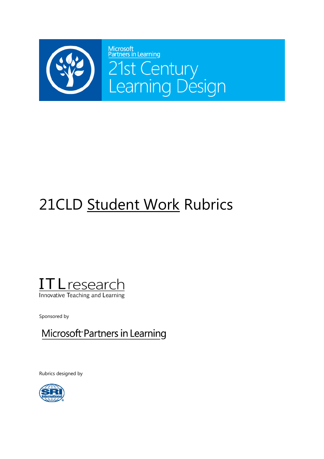

## 21CLD Student Work Rubrics



Sponsored by

Microsoft Partners in Learning

Rubrics designed by

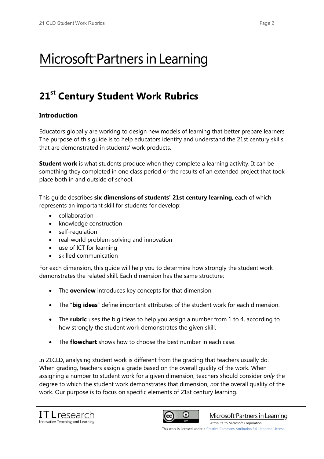## Microsoft<sup>®</sup> Partners in Learning

### **21st Century Student Work Rubrics**

### **Introduction**

Educators globally are working to design new models of learning that better prepare learners The purpose of this guide is to help educators identify and understand the 21st century skills that are demonstrated in students' work products.

**Student work** is what students produce when they complete a learning activity. It can be something they completed in one class period or the results of an extended project that took place both in and outside of school.

This guide describes **six dimensions of students' 21st century learning**, each of which represents an important skill for students for develop:

- $\bullet$  collaboration
- knowledge construction
- self-regulation
- real-world problem-solving and innovation
- use of ICT for learning
- x skilled communication

For each dimension, this guide will help you to determine how strongly the student work demonstrates the related skill. Each dimension has the same structure:

- The **overview** introduces key concepts for that dimension.
- The "**big ideas**" define important attributes of the student work for each dimension.
- The **rubric** uses the big ideas to help you assign a number from 1 to 4, according to how strongly the student work demonstrates the given skill.
- The **flowchart** shows how to choose the best number in each case.

In 21CLD, analysing student work is different from the grading that teachers usually do. When grading, teachers assign a grade based on the overall quality of the work. When assigning a number to student work for a given dimension, teachers should consider *only* the degree to which the student work demonstrates that dimension, *not* the overall quality of the work. Our purpose is to focus on specific elements of 21st century learning.





Microsoft Partners in Learning

[Attribute to Microsoft Corporation](http://www.pil-network.com/)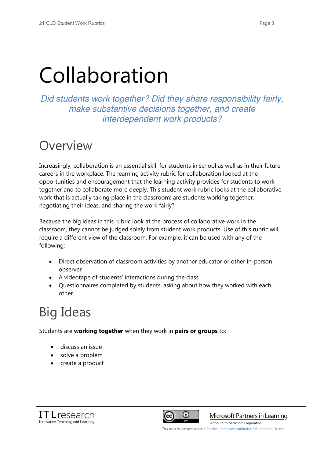## Collaboration

*Did students work together? Did they share responsibility fairly, make substantive decisions together, and create interdependent work products?*

## **Overview**

Increasingly, collaboration is an essential skill for students in school as well as in their future careers in the workplace. The learning activity rubric for collaboration looked at the opportunities and encouragement that the learning activity provides for students to work together and to collaborate more deeply. This student work rubric looks at the collaborative work that is actually taking place in the classroom: are students working together, negotiating their ideas, and sharing the work fairly?

Because the big ideas in this rubric look at the process of collaborative work in the classroom, they cannot be judged solely from student work products. Use of this rubric will require a different view of the classroom. For example, it can be used with any of the following:

- Direct observation of classroom activities by another educator or other in-person observer
- A videotape of students' interactions during the class
- Questionnaires completed by students, asking about how they worked with each other

## Big Ideas

Students are **working together** when they work in **pairs or groups** to:

- discuss an issue
- solve a problem
- create a product





Microsoft Partners in Learning

[Attribute to Microsoft Corporation](http://www.pil-network.com/)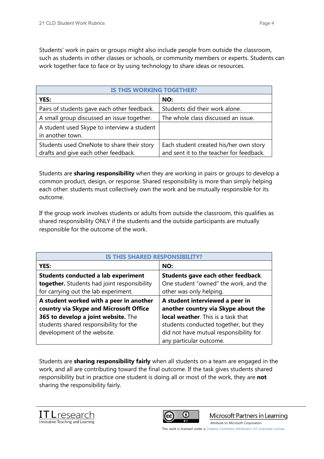Students' work in pairs or groups might also include people from outside the classroom, such as students in other classes or schools, or community members or experts. Students can work together face to face or by using technology to share ideas or resources.

| <b>IS THIS WORKING TOGETHER?</b>                                                   |                                                                                    |
|------------------------------------------------------------------------------------|------------------------------------------------------------------------------------|
| YES:                                                                               | NO:                                                                                |
| Pairs of students gave each other feedback.                                        | Students did their work alone.                                                     |
| A small group discussed an issue together.                                         | The whole class discussed an issue.                                                |
| A student used Skype to interview a student<br>in another town.                    |                                                                                    |
| Students used OneNote to share their story<br>drafts and give each other feedback. | Each student created his/her own story<br>and sent it to the teacher for feedback. |

Students are **sharing responsibility** when they are working in pairs or groups to develop a common product, design, or response. Shared responsibility is more than simply helping each other: students must collectively own the work and be mutually responsible for its outcome.

If the group work involves students or adults from outside the classroom, this qualifies as shared responsibility ONLY if the students and the outside participants are mutually responsible for the outcome of the work.

| <b>IS THIS SHARED RESPONSIBILI</b>          |                                           |
|---------------------------------------------|-------------------------------------------|
| YES:                                        | NO:                                       |
| <b>Students conducted a lab experiment</b>  | Students gave each other feedback.        |
| together. Students had joint responsibility | One student "owned" the work, and the     |
| for carrying out the lab experiment.        | other was only helping.                   |
| A student worked with a peer in another     | A student interviewed a peer in           |
| country via Skype and Microsoft Office      | another country via Skype about the       |
| 365 to develop a joint website. The         | <b>local weather.</b> This is a task that |
| students shared responsibility for the      | students conducted together, but they     |
| development of the website.                 | did not have mutual responsibility for    |
|                                             | any particular outcome.                   |

Students are **sharing responsibility fairly** when all students on a team are engaged in the work, and all are contributing toward the final outcome. If the task gives students shared responsibility but in practice one student is doing all or most of the work, they are **not** sharing the responsibility fairly.





Microsoft Partners in Learning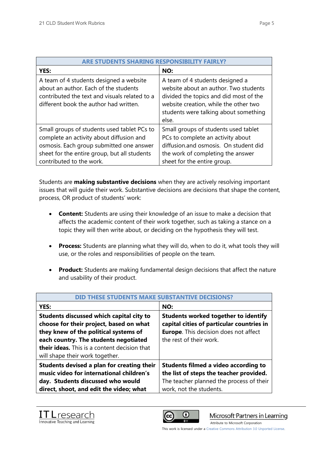| <b>ARE STUDENTS SHARING RESPONSIB</b>                                                                                                                                                                           |                                                                                                                                                                                                               |
|-----------------------------------------------------------------------------------------------------------------------------------------------------------------------------------------------------------------|---------------------------------------------------------------------------------------------------------------------------------------------------------------------------------------------------------------|
| YES:                                                                                                                                                                                                            | NO:                                                                                                                                                                                                           |
| A team of 4 students designed a website<br>about an author. Each of the students<br>contributed the text and visuals related to a<br>different book the author had written.                                     | A team of 4 students designed a<br>website about an author. Two students<br>divided the topics and did most of the<br>website creation, while the other two<br>students were talking about something<br>else. |
| Small groups of students used tablet PCs to<br>complete an activity about diffusion and<br>osmosis. Each group submitted one answer<br>sheet for the entire group, but all students<br>contributed to the work. | Small groups of students used tablet<br>PCs to complete an activity about<br>diffusion.and osmosis. On student did<br>the work of completing the answer<br>sheet for the entire group.                        |

Students are **making substantive decisions** when they are actively resolving important issues that will guide their work. Substantive decisions are decisions that shape the content, process, OR product of students' work:

- **Content:** Students are using their knowledge of an issue to make a decision that affects the academic content of their work together, such as taking a stance on a topic they will then write about, or deciding on the hypothesis they will test.
- **Process:** Students are planning what they will do, when to do it, what tools they will use, or the roles and responsibilities of people on the team.
- **Product:** Students are making fundamental design decisions that affect the nature and usability of their product.

| <b>THESE STUDENTS MAKE SUBSTANTIVE DEC</b>                                          |                                                                                          |
|-------------------------------------------------------------------------------------|------------------------------------------------------------------------------------------|
| <b>YES:</b>                                                                         | NO:                                                                                      |
| Students discussed which capital city to<br>choose for their project, based on what | <b>Students worked together to identify</b><br>capital cities of particular countries in |
| they knew of the political systems of                                               | <b>Europe.</b> This decision does not affect                                             |
| each country. The students negotiated                                               | the rest of their work.                                                                  |
| <b>their ideas.</b> This is a content decision that                                 |                                                                                          |
| will shape their work together.                                                     |                                                                                          |
| Students devised a plan for creating their                                          | <b>Students filmed a video according to</b>                                              |
| music video for international children's                                            | the list of steps the teacher provided.                                                  |
| day. Students discussed who would                                                   | The teacher planned the process of their                                                 |
| direct, shoot, and edit the video; what                                             | work, not the students.                                                                  |





Microsoft Partners in Learning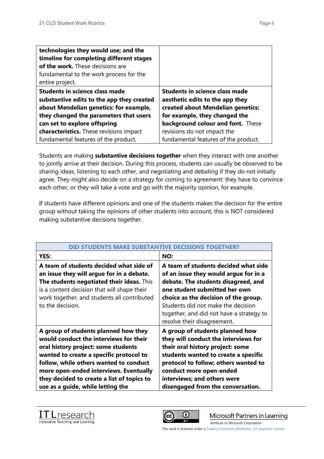| technologies they would use; and the<br>timeline for completing different stages<br>of the work. These decisions are<br>fundamental to the work process for the<br>entire project. |                                       |
|------------------------------------------------------------------------------------------------------------------------------------------------------------------------------------|---------------------------------------|
| <b>Students in science class made</b>                                                                                                                                              | <b>Students in science class made</b> |
| substantive edits to the app they created                                                                                                                                          | aesthetic edits to the app they       |
| about Mendelian genetics: for example,                                                                                                                                             | created about Mendelian genetics:     |
| they changed the parameters that users                                                                                                                                             | for example, they changed the         |
| can set to explore offspring                                                                                                                                                       | background colour and font. These     |
| characteristics. These revisions impact                                                                                                                                            | revisions do not impact the           |
| fundamental features of the product.                                                                                                                                               | fundamental features of the product.  |

Students are making **substantive decisions together** when they interact with one another to jointly arrive at their decision. During this process, students can usually be observed to be sharing ideas, listening to each other, and negotiating and debating if they do not initially agree. They might also decide on a strategy for coming to agreement: they have to convince each other, or they will take a vote and go with the majority opinion, for example.

If students have different opinions and one of the students makes the decision for the entire group without taking the opinions of other students into account, this is NOT considered making substantive decisions together.

| DID STUDENTS MAKE SUBSTANTIVE DECISIONS TOGETHER?                                                                                                                                                                                                                                                                                       |                                                                                                                                                                                                                                                                                                                |
|-----------------------------------------------------------------------------------------------------------------------------------------------------------------------------------------------------------------------------------------------------------------------------------------------------------------------------------------|----------------------------------------------------------------------------------------------------------------------------------------------------------------------------------------------------------------------------------------------------------------------------------------------------------------|
| YES:                                                                                                                                                                                                                                                                                                                                    | NO:                                                                                                                                                                                                                                                                                                            |
| A team of students decided what side of<br>an issue they will argue for in a debate.<br>The students negotiated their ideas. This<br>is a content decision that will shape their<br>work together, and students all contributed<br>to the decision.                                                                                     | A team of students decided what side<br>of an issue they would argue for in a<br>debate. The students disagreed, and<br>one student submitted her own<br>choice as the decision of the group.<br>Students did not make the decision<br>together, and did not have a strategy to<br>resolve their disagreement. |
| A group of students planned how they<br>would conduct the interviews for their<br>oral history project: some students<br>wanted to create a specific protocol to<br>follow, while others wanted to conduct<br>more open-ended interviews. Eventually<br>they decided to create a list of topics to<br>use as a guide, while letting the | A group of students planned how<br>they will conduct the interviews for<br>their oral history project: some<br>students wanted to create a specific<br>protocol to follow; others wanted to<br>conduct more open-ended<br>interviews; and others were<br>disengaged from the conversation.                     |





Microsoft Partners in Learning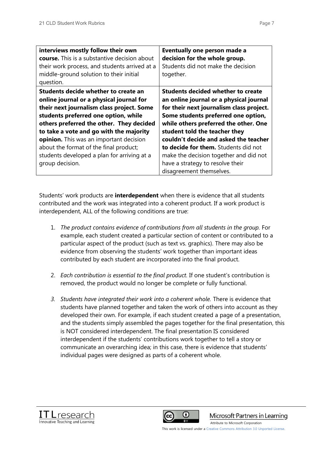| interviews mostly follow their own<br><b>course.</b> This is a substantive decision about<br>their work process, and students arrived at a<br>middle-ground solution to their initial<br>question.                                                                                                                                                                                                                  | Eventually one person made a<br>decision for the whole group.<br>Students did not make the decision<br>together.                                                                                                                                                                                                                                                                                                                             |
|---------------------------------------------------------------------------------------------------------------------------------------------------------------------------------------------------------------------------------------------------------------------------------------------------------------------------------------------------------------------------------------------------------------------|----------------------------------------------------------------------------------------------------------------------------------------------------------------------------------------------------------------------------------------------------------------------------------------------------------------------------------------------------------------------------------------------------------------------------------------------|
| Students decide whether to create an<br>online journal or a physical journal for<br>their next journalism class project. Some<br>students preferred one option, while<br>others preferred the other. They decided<br>to take a vote and go with the majority<br>opinion. This was an important decision<br>about the format of the final product;<br>students developed a plan for arriving at a<br>group decision. | <b>Students decided whether to create</b><br>an online journal or a physical journal<br>for their next journalism class project.<br>Some students preferred one option,<br>while others preferred the other. One<br>student told the teacher they<br>couldn't decide and asked the teacher<br>to decide for them. Students did not<br>make the decision together and did not<br>have a strategy to resolve their<br>disagreement themselves. |

Students' work products are **interdependent** when there is evidence that all students contributed and the work was integrated into a coherent product. If a work product is interdependent, ALL of the following conditions are true:

- 1. *The product contains evidence of contributions from all students in the group.* For example, each student created a particular section of content or contributed to a particular aspect of the product (such as text vs. graphics). There may also be evidence from observing the students' work together than important ideas contributed by each student are incorporated into the final product.
- 2. *Each contribution is essential to the final product.* If one student's contribution is removed, the product would no longer be complete or fully functional.
- *3. Students have integrated their work into a coherent whole.* There is evidence that students have planned together and taken the work of others into account as they developed their own. For example, if each student created a page of a presentation, and the students simply assembled the pages together for the final presentation, this is NOT considered interdependent. The final presentation IS considered interdependent if the students' contributions work together to tell a story or communicate an overarching idea; in this case, there is evidence that students' individual pages were designed as parts of a coherent whole.





Microsoft Partners in Learning

[Attribute to Microsoft Corporation](http://www.pil-network.com/)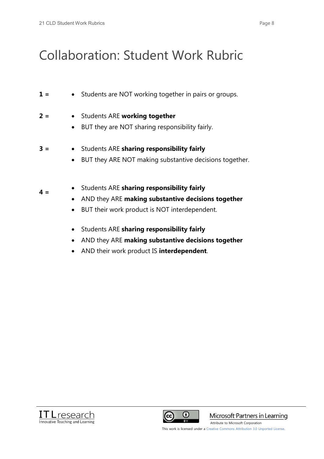$4 =$ 

## Collaboration: Student Work Rubric

- **1** =  $\bullet$  Students are NOT working together in pairs or groups.
- **2 = •** Students ARE **working together** 
	- BUT they are NOT sharing responsibility fairly.
- **3 =** x Students ARE **sharing responsibility fairly**
	- **•** BUT they ARE NOT making substantive decisions together.
	- x Students ARE **sharing responsibility fairly**
		- x AND they ARE **making substantive decisions together**
		- BUT their work product is NOT interdependent.
		- x Students ARE **sharing responsibility fairly**
		- x AND they ARE **making substantive decisions together**
		- x AND their work product IS **interdependent**.





Microsoft Partners in Learning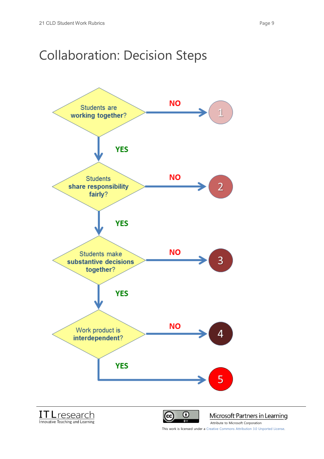### Collaboration: Decision Steps

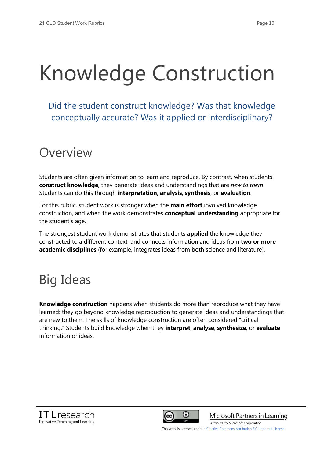## Knowledge Construction

Did the student construct knowledge? Was that knowledge conceptually accurate? Was it applied or interdisciplinary?

## Overview

Students are often given information to learn and reproduce. By contrast, when students **construct knowledge**, they generate ideas and understandings that are *new to them*. Students can do this through **interpretation**, **analysis**, **synthesis**, or **evaluation**.

For this rubric, student work is stronger when the **main effort** involved knowledge construction, and when the work demonstrates **conceptual understanding** appropriate for the student's age.

The strongest student work demonstrates that students **applied** the knowledge they constructed to a different context, and connects information and ideas from **two or more academic disciplines** (for example, integrates ideas from both science and literature).

## Big Ideas

**Knowledge construction** happens when students do more than reproduce what they have learned: they go beyond knowledge reproduction to generate ideas and understandings that are new to them. The skills of knowledge construction are often considered "critical thinking." Students build knowledge when they **interpret**, **analyse**, **synthesize**, or **evaluate** information or ideas.





Microsoft Partners in Learning

This work is licensed under a Creative Commons Attribution 3.0 Unported License.

[Attribute to Microsoft Corporation](http://www.pil-network.com/)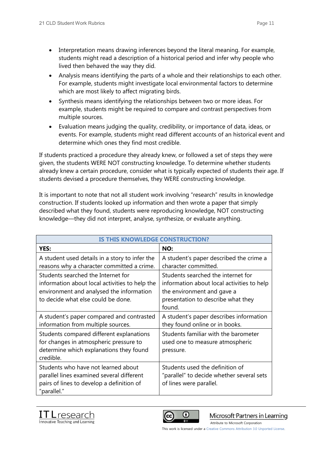- Interpretation means drawing inferences beyond the literal meaning. For example, students might read a description of a historical period and infer why people who lived then behaved the way they did.
- Analysis means identifying the parts of a whole and their relationships to each other. For example, students might investigate local environmental factors to determine which are most likely to affect migrating birds.
- Synthesis means identifying the relationships between two or more ideas. For example, students might be required to compare and contrast perspectives from multiple sources.
- x Evaluation means judging the quality, credibility, or importance of data, ideas, or events. For example, students might read different accounts of an historical event and determine which ones they find most credible.

If students practiced a procedure they already knew, or followed a set of steps they were given, the students WERE NOT constructing knowledge. To determine whether students already knew a certain procedure, consider what is typically expected of students their age. If students devised a procedure themselves, they WERE constructing knowledge.

It is important to note that not all student work involving "research" results in knowledge construction. If students looked up information and then wrote a paper that simply described what they found, students were reproducing knowledge, NOT constructing knowledge—they did not interpret, analyse, synthesize, or evaluate anything.

| IS THIS KNOWLEDGE CONSTRUCTION?                                                                                                                                        |                                                                                                                                                                |
|------------------------------------------------------------------------------------------------------------------------------------------------------------------------|----------------------------------------------------------------------------------------------------------------------------------------------------------------|
| YES:                                                                                                                                                                   | NO:                                                                                                                                                            |
| A student used details in a story to infer the<br>reasons why a character committed a crime.                                                                           | A student's paper described the crime a<br>character committed.                                                                                                |
| Students searched the Internet for<br>information about local activities to help the<br>environment and analysed the information<br>to decide what else could be done. | Students searched the internet for<br>information about local activities to help<br>the environment and gave a<br>presentation to describe what they<br>found. |
| A student's paper compared and contrasted<br>information from multiple sources.                                                                                        | A student's paper describes information<br>they found online or in books.                                                                                      |
| Students compared different explanations<br>for changes in atmospheric pressure to<br>determine which explanations they found<br>credible.                             | Students familiar with the barometer<br>used one to measure atmospheric<br>pressure.                                                                           |
| Students who have not learned about<br>parallel lines examined several different<br>pairs of lines to develop a definition of<br>"parallel."                           | Students used the definition of<br>"parallel" to decide whether several sets<br>of lines were parallel.                                                        |





Microsoft Partners in Learning

This work is licensed under a Creative Commons Attribution 3.0 Unported License.

[Attribute to Microsoft Corporation](http://www.pil-network.com/)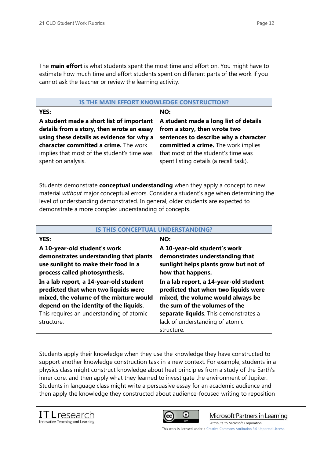The **main effort** is what students spent the most time and effort on. You might have to estimate how much time and effort students spent on different parts of the work if you cannot ask the teacher or review the learning activity.

| IS THE MAIN EFFORT KNOWLEDGE CONSTRUCTION?                                            |                                                                       |
|---------------------------------------------------------------------------------------|-----------------------------------------------------------------------|
| YES:                                                                                  | NO:                                                                   |
| A student made a short list of important<br>details from a story, then wrote an essay | A student made a long list of details<br>from a story, then wrote two |
| using these details as evidence for why a                                             | sentences to describe why a character                                 |
| character committed a crime. The work                                                 | committed a crime. The work implies                                   |
| implies that most of the student's time was                                           | that most of the student's time was                                   |
| spent on analysis.                                                                    | spent listing details (a recall task).                                |

Students demonstrate **conceptual understanding** when they apply a concept to new material *without* major conceptual errors. Consider a student's age when determining the level of understanding demonstrated. In general, older students are expected to demonstrate a more complex understanding of concepts.

| IS THIS CONCEPTUAL UNDERSTAND                                                                                                                                      |                                                                                                                                                      |
|--------------------------------------------------------------------------------------------------------------------------------------------------------------------|------------------------------------------------------------------------------------------------------------------------------------------------------|
| <b>YES:</b>                                                                                                                                                        | NO:                                                                                                                                                  |
| A 10-year-old student's work<br>demonstrates understanding that plants<br>use sunlight to make their food in a<br>process called photosynthesis.                   | A 10-year-old student's work<br>demonstrates understanding that<br>sunlight helps plants grow but not of<br>how that happens.                        |
| In a lab report, a 14-year-old student<br>predicted that when two liquids were<br>mixed, the volume of the mixture would<br>depend on the identity of the liquids. | In a lab report, a 14-year-old student<br>predicted that when two liquids were<br>mixed, the volume would always be<br>the sum of the volumes of the |
| This requires an understanding of atomic<br>structure.                                                                                                             | separate liquids. This demonstrates a<br>lack of understanding of atomic<br>structure.                                                               |

Students apply their knowledge when they use the knowledge they have constructed to support another knowledge construction task in a new context. For example, students in a physics class might construct knowledge about heat principles from a study of the Earth's inner core, and then apply what they learned to investigate the environment of Jupiter. Students in language class might write a persuasive essay for an academic audience and then apply the knowledge they constructed about audience-focused writing to reposition





Microsoft Partners in Learning **BY** [Attribute to Microsoft Corporation](http://www.pil-network.com/)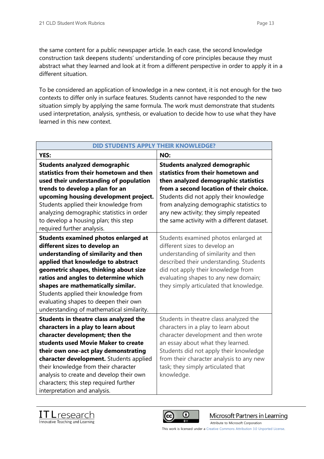the same content for a public newspaper article. In each case, the second knowledge construction task deepens students' understanding of core principles because they must abstract what they learned and look at it from a different perspective in order to apply it in a different situation.

To be considered an application of knowledge in a new context, it is not enough for the two contexts to differ only in surface features. Students cannot have responded to the new situation simply by applying the same formula. The work must demonstrate that students used interpretation, analysis, synthesis, or evaluation to decide how to use what they have learned in this new context.

| <b>DID STUDENTS APPLY THEIR KNOWLEDGE?</b>  |                                             |
|---------------------------------------------|---------------------------------------------|
| YES:                                        | NO:                                         |
| <b>Students analyzed demographic</b>        | <b>Students analyzed demographic</b>        |
| statistics from their hometown and then     | statistics from their hometown and          |
| used their understanding of population      | then analyzed demographic statistics        |
| trends to develop a plan for an             | from a second location of their choice.     |
| upcoming housing development project.       | Students did not apply their knowledge      |
| Students applied their knowledge from       | from analyzing demographic statistics to    |
| analyzing demographic statistics in order   | any new activity; they simply repeated      |
| to develop a housing plan; this step        | the same activity with a different dataset. |
| required further analysis.                  |                                             |
| <b>Students examined photos enlarged at</b> | Students examined photos enlarged at        |
| different sizes to develop an               | different sizes to develop an               |
| understanding of similarity and then        | understanding of similarity and then        |
| applied that knowledge to abstract          | described their understanding. Students     |
| geometric shapes, thinking about size       | did not apply their knowledge from          |
| ratios and angles to determine which        | evaluating shapes to any new domain;        |
| shapes are mathematically similar.          | they simply articulated that knowledge.     |
| Students applied their knowledge from       |                                             |
| evaluating shapes to deepen their own       |                                             |
| understanding of mathematical similarity.   |                                             |
| Students in theatre class analyzed the      | Students in theatre class analyzed the      |
| characters in a play to learn about         | characters in a play to learn about         |
| character development; then the             | character development and then wrote        |
| students used Movie Maker to create         | an essay about what they learned.           |
| their own one-act play demonstrating        | Students did not apply their knowledge      |
| character development. Students applied     | from their character analysis to any new    |
| their knowledge from their character        | task; they simply articulated that          |
| analysis to create and develop their own    | knowledge.                                  |
| characters; this step required further      |                                             |
| interpretation and analysis.                |                                             |





Microsoft Partners in Learning **BY** [Attribute to Microsoft Corporation](http://www.pil-network.com/)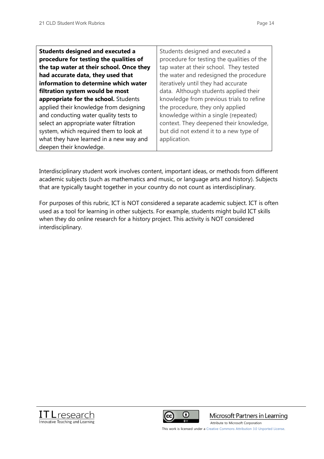| <b>Students designed and executed a</b><br>procedure for testing the qualities of | Students designed and executed a<br>procedure for testing the qualities of the |
|-----------------------------------------------------------------------------------|--------------------------------------------------------------------------------|
| the tap water at their school. Once they                                          | tap water at their school. They tested                                         |
| had accurate data, they used that                                                 | the water and redesigned the procedure                                         |
| information to determine which water                                              | iteratively until they had accurate                                            |
| filtration system would be most                                                   | data. Although students applied their                                          |
| appropriate for the school. Students                                              | knowledge from previous trials to refine                                       |
| applied their knowledge from designing                                            | the procedure, they only applied                                               |
| and conducting water quality tests to                                             | knowledge within a single (repeated)                                           |
| select an appropriate water filtration                                            | context. They deepened their knowledge,                                        |
| system, which required them to look at                                            | but did not extend it to a new type of                                         |
| what they have learned in a new way and                                           | application.                                                                   |
| deepen their knowledge.                                                           |                                                                                |

Interdisciplinary student work involves content, important ideas, or methods from different academic subjects (such as mathematics and music, or language arts and history). Subjects that are typically taught together in your country do not count as interdisciplinary.

For purposes of this rubric, ICT is NOT considered a separate academic subject. ICT is often used as a tool for learning in other subjects. For example, students might build ICT skills when they do online research for a history project. This activity is NOT considered interdisciplinary.





Microsoft Partners in Learning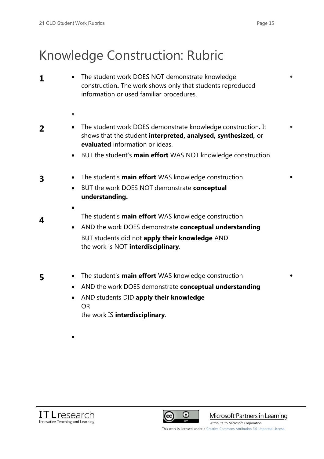## Knowledge Construction: Rubric

- **1 1 b** The student work DOES NOT demonstrate knowledge construction**.** The work shows only that students reproduced information or used familiar procedures.  $\blacksquare$  $\bullet$ **2** • The student work DOES demonstrate knowledge construction. It shows that the student **interpreted, analysed, synthesized,** or **evaluated** information or ideas. **EUT the student's main effort WAS NOT knowledge construction.**  $\bullet$ **3 4 •** The student's **main effort** WAS knowledge construction x BUT the work DOES NOT demonstrate **conceptual understanding.**   $\bullet$ The student's **main effort** WAS knowledge construction • AND the work DOES demonstrate **conceptual understanding** BUT students did not **apply their knowledge** AND the work is NOT **interdisciplinary**.  $\bullet$
- 
- **5** The student's **main effort** WAS knowledge construction
	- x AND the work DOES demonstrate **conceptual understanding**
	- x AND students DID **apply their knowledge**  OR the work IS **interdisciplinary**.



 $\bullet$ 



Microsoft Partners in Learning

 $\bullet$ 

[Attribute to Microsoft Corporation](http://www.pil-network.com/)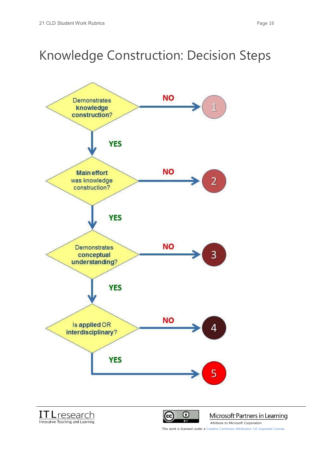## Knowledge Construction: Decision Steps







Microsoft Partners in Learning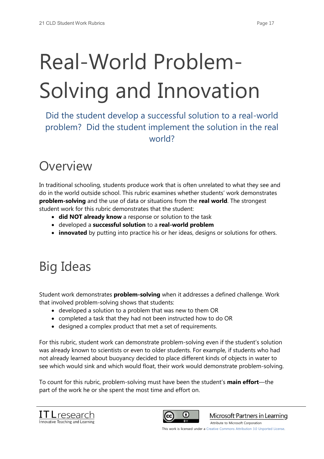## Real-World Problem-Solving and Innovation

Did the student develop a successful solution to a real-world problem? Did the student implement the solution in the real world?

## Overview

In traditional schooling, students produce work that is often unrelated to what they see and do in the world outside school. This rubric examines whether students' work demonstrates **problem-solving** and the use of data or situations from the **real world**. The strongest student work for this rubric demonstrates that the student:

- **did NOT already know** a response or solution to the task
- x developed a **successful solution** to a **real-world problem**
- **innovated** by putting into practice his or her ideas, designs or solutions for others.

## Big Ideas

Student work demonstrates **problem-solving** when it addresses a defined challenge. Work that involved problem-solving shows that students:

- developed a solution to a problem that was new to them OR
- completed a task that they had not been instructed how to do OR
- designed a complex product that met a set of requirements.

For this rubric, student work can demonstrate problem-solving even if the student's solution was already known to scientists or even to older students. For example, if students who had not already learned about buoyancy decided to place different kinds of objects in water to see which would sink and which would float, their work would demonstrate problem-solving.

To count for this rubric, problem-solving must have been the student's **main effort**—the part of the work he or she spent the most time and effort on.





Microsoft Partners in Learning

[Attribute to Microsoft Corporation](http://www.pil-network.com/)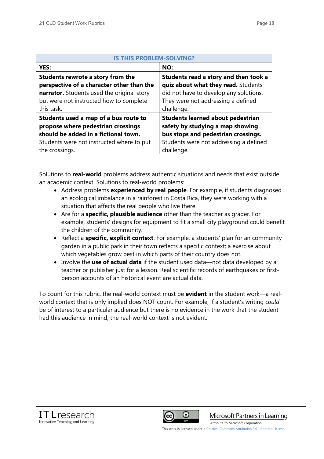| <b>IS THIS PROBLEM-SOLVING?</b>            |                                          |  |
|--------------------------------------------|------------------------------------------|--|
| YES:                                       | NO:                                      |  |
| Students rewrote a story from the          | Students read a story and then took a    |  |
| perspective of a character other than the  | quiz about what they read. Students      |  |
| narrator. Students used the original story | did not have to develop any solutions.   |  |
| but were not instructed how to complete    | They were not addressing a defined       |  |
| this task.                                 | challenge.                               |  |
| Students used a map of a bus route to      | <b>Students learned about pedestrian</b> |  |
| propose where pedestrian crossings         | safety by studying a map showing         |  |
| should be added in a fictional town.       | bus stops and pedestrian crossings.      |  |
| Students were not instructed where to put  | Students were not addressing a defined   |  |
| the crossings.                             | challenge.                               |  |

Solutions to **real-world** problems address authentic situations and needs that exist outside an academic context. Solutions to real-world problems:

- Address problems **experienced by real people**. For example, if students diagnosed an ecological imbalance in a rainforest in Costa Rica, they were working with a situation that affects the real people who live there.
- **Are for a specific, plausible audience** other than the teacher as grader. For example, students' designs for equipment to fit a small city playground could benefit the children of the community.
- Reflect a **specific, explicit context**. For example, a students' plan for an community garden in a public park in their town reflects a specific context; a exercise about which vegetables grow best in which parts of their country does not.
- Involve the **use of actual data** if the student used data—not data developed by a teacher or publisher just for a lesson. Real scientific records of earthquakes or firstperson accounts of an historical event are actual data.

To count for this rubric, the real-world context must be **evident** in the student work—a realworld context that is only implied does NOT count. For example, if a student's writing *could* be of interest to a particular audience but there is no evidence in the work that the student had this audience in mind, the real-world context is not evident.





Microsoft Partners in Learning

[Attribute to Microsoft Corporation](http://www.pil-network.com/)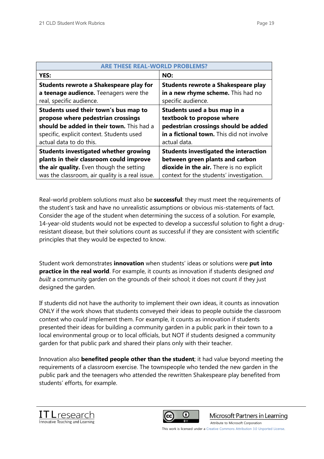| <b>ARE THESE REAL-WORLD PROBI</b>               |                                              |  |
|-------------------------------------------------|----------------------------------------------|--|
| <b>YES:</b>                                     | NO:                                          |  |
| Students rewrote a Shakespeare play for         | Students rewrote a Shakespeare play          |  |
| a teenage audience. Teenagers were the          | in a new rhyme scheme. This had no           |  |
| real, specific audience.                        | specific audience.                           |  |
| Students used their town's bus map to           | Students used a bus map in a                 |  |
| propose where pedestrian crossings              | textbook to propose where                    |  |
| should be added in their town. This had a       | pedestrian crossings should be added         |  |
| specific, explicit context. Students used       | in a fictional town. This did not involve    |  |
| actual data to do this.                         | actual data.                                 |  |
| <b>Students investigated whether growing</b>    | <b>Students investigated the interaction</b> |  |
| plants in their classroom could improve         | between green plants and carbon              |  |
| the air quality. Even though the setting        | dioxide in the air. There is no explicit     |  |
| was the classroom, air quality is a real issue. | context for the students' investigation.     |  |

Real-world problem solutions must also be **successful**: they must meet the requirements of the student's task and have no unrealistic assumptions or obvious mis-statements of fact. Consider the age of the student when determining the success of a solution. For example, 14-year-old students would not be expected to develop a successful solution to fight a drugresistant disease, but their solutions count as successful if they are consistent with scientific principles that they would be expected to know.

Student work demonstrates **innovation** when students' ideas or solutions were **put into practice in the real world**. For example, it counts as innovation if students designed *and built* a community garden on the grounds of their school; it does not count if they just designed the garden.

If students did not have the authority to implement their own ideas, it counts as innovation ONLY if the work shows that students conveyed their ideas to people outside the classroom context who *could* implement them. For example, it counts as innovation if students presented their ideas for building a community garden in a public park in their town to a local environmental group or to local officials, but NOT if students designed a community garden for that public park and shared their plans only with their teacher.

Innovation also **benefited people other than the student**; it had value beyond meeting the requirements of a classroom exercise. The townspeople who tended the new garden in the public park and the teenagers who attended the rewritten Shakespeare play benefited from students' efforts, for example.





Microsoft Partners in Learning

[Attribute to Microsoft Corporation](http://www.pil-network.com/)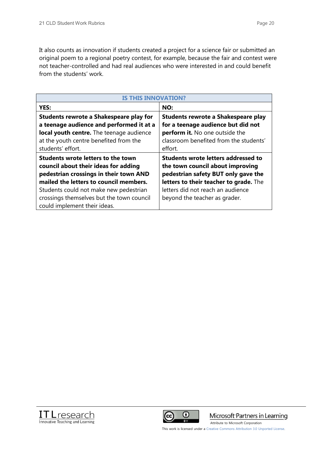It also counts as innovation if students created a project for a science fair or submitted an original poem to a regional poetry contest, for example, because the fair and contest were not teacher-controlled and had real audiences who were interested in and could benefit from the students' work.

| <b>IS THIS INNOVATION?</b>                                                                                                                                                                                                                            |                                                                                                                                                                                                                                       |  |
|-------------------------------------------------------------------------------------------------------------------------------------------------------------------------------------------------------------------------------------------------------|---------------------------------------------------------------------------------------------------------------------------------------------------------------------------------------------------------------------------------------|--|
| YES:                                                                                                                                                                                                                                                  | NO:                                                                                                                                                                                                                                   |  |
| Students rewrote a Shakespeare play for<br>a teenage audience and performed it at a<br>local youth centre. The teenage audience<br>at the youth centre benefited from the<br>students' effort.                                                        | Students rewrote a Shakespeare play<br>for a teenage audience but did not<br>perform it. No one outside the<br>classroom benefited from the students'<br>effort.                                                                      |  |
| Students wrote letters to the town<br>council about their ideas for adding<br>pedestrian crossings in their town AND<br>mailed the letters to council members.<br>Students could not make new pedestrian<br>crossings themselves but the town council | <b>Students wrote letters addressed to</b><br>the town council about improving<br>pedestrian safety BUT only gave the<br>letters to their teacher to grade. The<br>letters did not reach an audience<br>beyond the teacher as grader. |  |
| could implement their ideas.                                                                                                                                                                                                                          |                                                                                                                                                                                                                                       |  |





Microsoft Partners in Learning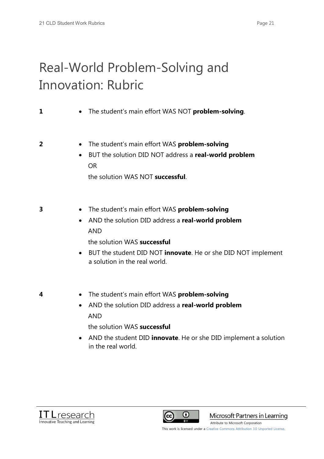## Real-World Problem-Solving and Innovation: Rubric

### **1** • The student's main effort WAS NOT **problem-solving**.

- **2** x The student's main effort WAS **problem-solving**
	- x BUT the solution DID NOT address a **real-world problem** OR

the solution WAS NOT **successful**.

- **3** The student's main effort WAS **problem-solving** 
	- x AND the solution DID address a **real-world problem** AND
		- the solution WAS **successful**
	- x BUT the student DID NOT **innovate**. He or she DID NOT implement a solution in the real world.

- **4** x The student's main effort WAS **problem-solving**
	- x AND the solution DID address a **real-world problem** AND
		- the solution WAS **successful**
	- **•** AND the student DID **innovate**. He or she DID implement a solution in the real world.





Microsoft Partners in Learning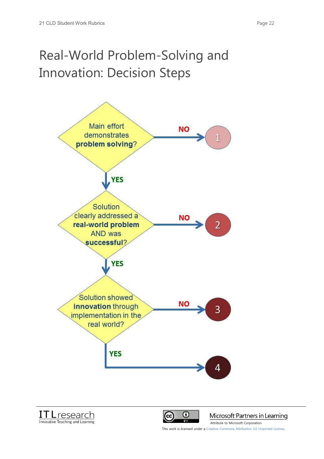## Real-World Problem-Solving and Innovation: Decision Steps







Microsoft Partners in Learning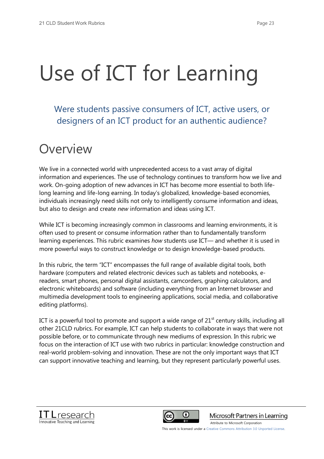# Use of ICT for Learning

Were students passive consumers of ICT, active users, or designers of an ICT product for an authentic audience?

### Overview

We live in a connected world with unprecedented access to a vast array of digital information and experiences. The use of technology continues to transform how we live and work. On-going adoption of new advances in ICT has become more essential to both lifelong learning and life-long earning. In today's globalized, knowledge-based economies, individuals increasingly need skills not only to intelligently consume information and ideas, but also to design and create *new* information and ideas using ICT.

While ICT is becoming increasingly common in classrooms and learning environments, it is often used to present or consume information rather than to fundamentally transform learning experiences. This rubric examines *how* students use ICT— and whether it is used in more powerful ways to construct knowledge or to design knowledge-based products.

In this rubric, the term "ICT" encompasses the full range of available digital tools, both hardware (computers and related electronic devices such as tablets and notebooks, ereaders, smart phones, personal digital assistants, camcorders, graphing calculators, and electronic whiteboards) and software (including everything from an Internet browser and multimedia development tools to engineering applications, social media, and collaborative editing platforms).

ICT is a powerful tool to promote and support a wide range of  $21<sup>st</sup>$  century skills, including all other 21CLD rubrics. For example, ICT can help students to collaborate in ways that were not possible before, or to communicate through new mediums of expression. In this rubric we focus on the interaction of ICT use with two rubrics in particular: knowledge construction and real-world problem-solving and innovation. These are not the only important ways that ICT can support innovative teaching and learning, but they represent particularly powerful uses.





Microsoft Partners in Learning

[Attribute to Microsoft Corporation](http://www.pil-network.com/)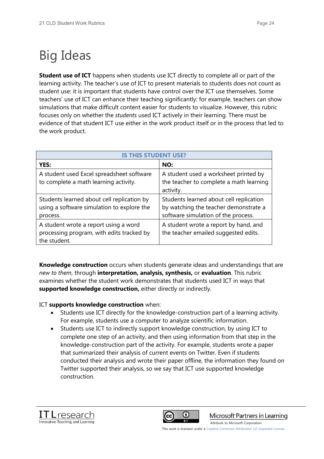## Big Ideas

**Student use of ICT** happens when students use ICT directly to complete all or part of the learning activity. The teacher's use of ICT to present materials to students does not count as student use: it is important that students have control over the ICT use themselves. Some teachers' use of ICT can enhance their teaching significantly: for example, teachers can show simulations that make difficult content easier for students to visualize. However, this rubric focuses only on whether the *students* used ICT actively in their learning. There must be evidence of that student ICT use either in the work product itself or in the process that led to the work product.

| <b>IS THIS STUDENT USE?</b>                                                                          |                                                                                                                         |  |
|------------------------------------------------------------------------------------------------------|-------------------------------------------------------------------------------------------------------------------------|--|
| YES:                                                                                                 | NO:                                                                                                                     |  |
| A student used Excel spreadsheet software<br>to complete a math learning activity.                   | A student used a worksheet printed by<br>the teacher to complete a math learning<br>activity.                           |  |
| Students learned about cell replication by<br>using a software simulation to explore the<br>process. | Students learned about cell replication<br>by watching the teacher demonstrate a<br>software simulation of the process. |  |
| A student wrote a report using a word<br>processing program, with edits tracked by<br>the student.   | A student wrote a report by hand, and<br>the teacher emailed suggested edits.                                           |  |

**Knowledge construction** occurs when students generate ideas and understandings that are *new to them*, through **interpretation, analysis, synthesis,** or **evaluation**. This rubric examines whether the student work demonstrates that students used ICT in ways that **supported knowledge construction,** either directly or indirectly.

ICT **supports knowledge construction** when:

- Students use ICT directly for the knowledge-construction part of a learning activity. For example, students use a computer to analyze scientific information.
- x Students use ICT to indirectly support knowledge construction, by using ICT to complete one step of an activity, and then using information from that step in the knowledge-construction part of the activity. For example, students wrote a paper that summarized their analysis of current events on Twitter. Even if students conducted their analysis and wrote their paper offline, the information they found on Twitter supported their analysis, so we say that ICT use supported knowledge construction.





Microsoft Partners in Learning

[Attribute to Microsoft Corporation](http://www.pil-network.com/)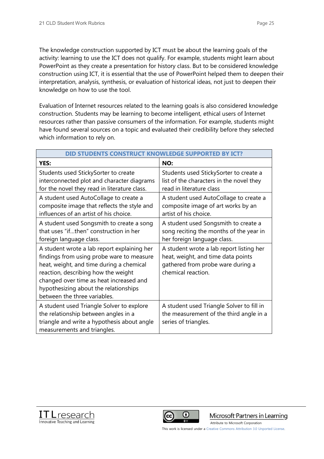The knowledge construction supported by ICT must be about the learning goals of the activity: learning to use the ICT does not qualify. For example, students might learn about PowerPoint as they create a presentation for history class. But to be considered knowledge construction using ICT, it is essential that the use of PowerPoint helped them to deepen their interpretation, analysis, synthesis, or evaluation of historical ideas, not just to deepen their knowledge on how to use the tool.

Evaluation of Internet resources related to the learning goals is also considered knowledge construction. Students may be learning to become intelligent, ethical users of Internet resources rather than passive consumers of the information. For example, students might have found several sources on a topic and evaluated their credibility before they selected which information to rely on.

| DID STUDENTS CONSTRUCT KNOWLEDGE SUPPORTED BY ICT?                                                                                                                                                                                                                                              |                                                                                                                                           |  |
|-------------------------------------------------------------------------------------------------------------------------------------------------------------------------------------------------------------------------------------------------------------------------------------------------|-------------------------------------------------------------------------------------------------------------------------------------------|--|
| YES:                                                                                                                                                                                                                                                                                            | NO:                                                                                                                                       |  |
| Students used StickySorter to create<br>interconnected plot and character diagrams<br>for the novel they read in literature class.                                                                                                                                                              | Students used StickySorter to create a<br>list of the characters in the novel they<br>read in literature class                            |  |
| A student used AutoCollage to create a<br>composite image that reflects the style and<br>influences of an artist of his choice.                                                                                                                                                                 | A student used AutoCollage to create a<br>composite image of art works by an<br>artist of his choice.                                     |  |
| A student used Songsmith to create a song<br>that uses "ifthen" construction in her<br>foreign language class.                                                                                                                                                                                  | A student used Songsmith to create a<br>song reciting the months of the year in<br>her foreign language class.                            |  |
| A student wrote a lab report explaining her<br>findings from using probe ware to measure<br>heat, weight, and time during a chemical<br>reaction, describing how the weight<br>changed over time as heat increased and<br>hypothesizing about the relationships<br>between the three variables. | A student wrote a lab report listing her<br>heat, weight, and time data points<br>gathered from probe ware during a<br>chemical reaction. |  |
| A student used Triangle Solver to explore<br>the relationship between angles in a<br>triangle and write a hypothesis about angle<br>measurements and triangles.                                                                                                                                 | A student used Triangle Solver to fill in<br>the measurement of the third angle in a<br>series of triangles.                              |  |





Microsoft Partners in Learning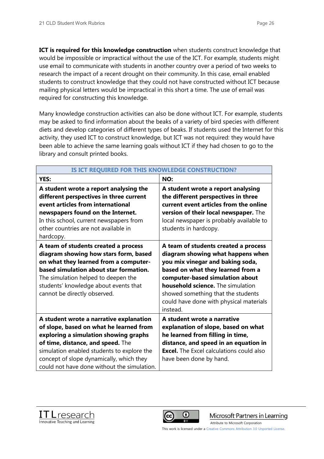**ICT is required for this knowledge construction** when students construct knowledge that would be impossible or impractical without the use of the ICT. For example, students might use email to communicate with students in another country over a period of two weeks to research the impact of a recent drought on their community. In this case, email enabled students to construct knowledge that they could not have constructed without ICT because mailing physical letters would be impractical in this short a time. The use of email was required for constructing this knowledge.

Many knowledge construction activities can also be done without ICT. For example, students may be asked to find information about the beaks of a variety of bird species with different diets and develop categories of different types of beaks. If students used the Internet for this activity, they used ICT to construct knowledge, but ICT was not required: they would have been able to achieve the same learning goals without ICT if they had chosen to go to the library and consult printed books.

| IS ICT REQUIRED FOR THIS KNOWLEDGE CONSTRUCTION?                                                                                                                                                                                                                                 |                                                                                                                                                                                                                                                                                                                         |  |
|----------------------------------------------------------------------------------------------------------------------------------------------------------------------------------------------------------------------------------------------------------------------------------|-------------------------------------------------------------------------------------------------------------------------------------------------------------------------------------------------------------------------------------------------------------------------------------------------------------------------|--|
| YES:                                                                                                                                                                                                                                                                             | NO:                                                                                                                                                                                                                                                                                                                     |  |
| A student wrote a report analysing the<br>different perspectives in three current<br>event articles from international<br>newspapers found on the Internet.<br>In this school, current newspapers from<br>other countries are not available in<br>hardcopy.                      | A student wrote a report analysing<br>the different perspectives in three<br>current event articles from the online<br>version of their local newspaper. The<br>local newspaper is probably available to<br>students in hardcopy.                                                                                       |  |
| A team of students created a process<br>diagram showing how stars form, based<br>on what they learned from a computer-<br>based simulation about star formation.<br>The simulation helped to deepen the<br>students' knowledge about events that<br>cannot be directly observed. | A team of students created a process<br>diagram showing what happens when<br>you mix vinegar and baking soda,<br>based on what they learned from a<br>computer-based simulation about<br>household science. The simulation<br>showed something that the students<br>could have done with physical materials<br>instead. |  |
| A student wrote a narrative explanation                                                                                                                                                                                                                                          | A student wrote a narrative                                                                                                                                                                                                                                                                                             |  |
| of slope, based on what he learned from                                                                                                                                                                                                                                          | explanation of slope, based on what                                                                                                                                                                                                                                                                                     |  |
| exploring a simulation showing graphs                                                                                                                                                                                                                                            | he learned from filling in time,                                                                                                                                                                                                                                                                                        |  |
| of time, distance, and speed. The                                                                                                                                                                                                                                                | distance, and speed in an equation in                                                                                                                                                                                                                                                                                   |  |
| simulation enabled students to explore the                                                                                                                                                                                                                                       | <b>Excel.</b> The Excel calculations could also                                                                                                                                                                                                                                                                         |  |
| concept of slope dynamically, which they                                                                                                                                                                                                                                         | have been done by hand.                                                                                                                                                                                                                                                                                                 |  |
| could not have done without the simulation.                                                                                                                                                                                                                                      |                                                                                                                                                                                                                                                                                                                         |  |





Microsoft Partners in Learning

[Attribute to Microsoft Corporation](http://www.pil-network.com/)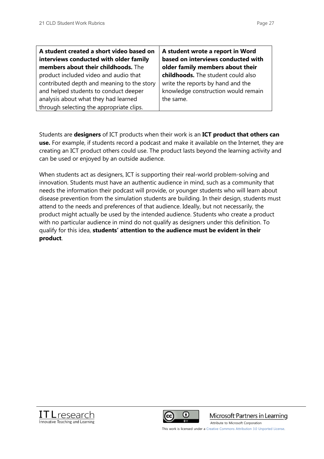| A student created a short video based on   | A student wrote a report in Word    |
|--------------------------------------------|-------------------------------------|
| interviews conducted with older family     | based on interviews conducted with  |
| members about their childhoods. The        | older family members about their    |
| product included video and audio that      | childhoods. The student could also  |
| contributed depth and meaning to the story | write the reports by hand and the   |
| and helped students to conduct deeper      | knowledge construction would remain |
| analysis about what they had learned       | the same.                           |
| through selecting the appropriate clips.   |                                     |

Students are **designers** of ICT products when their work is an **ICT product that others can use.** For example, if students record a podcast and make it available on the Internet, they are creating an ICT product others could use. The product lasts beyond the learning activity and can be used or enjoyed by an outside audience.

When students act as designers, ICT is supporting their real-world problem-solving and innovation. Students must have an authentic audience in mind, such as a community that needs the information their podcast will provide, or younger students who will learn about disease prevention from the simulation students are building. In their design, students must attend to the needs and preferences of that audience. Ideally, but not necessarily, the product might actually be used by the intended audience. Students who create a product with no particular audience in mind do not qualify as designers under this definition. To qualify for this idea, **students' attention to the audience must be evident in their product**.





Microsoft Partners in Learning

[Attribute to Microsoft Corporation](http://www.pil-network.com/)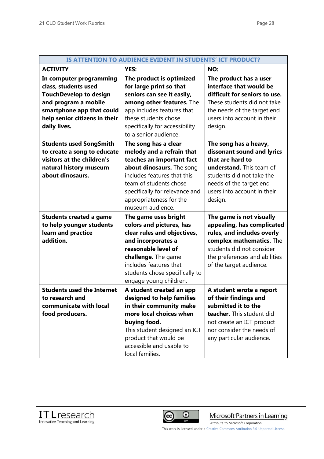| IS ATTENTION TO AUDIENCE EVIDENT IN STUDENTS' ICT PRODUCT?                                                                                                                             |                                                                                                                                                                                                                                                       |                                                                                                                                                                                                           |
|----------------------------------------------------------------------------------------------------------------------------------------------------------------------------------------|-------------------------------------------------------------------------------------------------------------------------------------------------------------------------------------------------------------------------------------------------------|-----------------------------------------------------------------------------------------------------------------------------------------------------------------------------------------------------------|
| <b>ACTIVITY</b>                                                                                                                                                                        | YES:                                                                                                                                                                                                                                                  | NO:                                                                                                                                                                                                       |
| In computer programming<br>class, students used<br><b>TouchDevelop to design</b><br>and program a mobile<br>smartphone app that could<br>help senior citizens in their<br>daily lives. | The product is optimized<br>for large print so that<br>seniors can see it easily,<br>among other features. The<br>app includes features that<br>these students chose<br>specifically for accessibility<br>to a senior audience.                       | The product has a user<br>interface that would be<br>difficult for seniors to use.<br>These students did not take<br>the needs of the target end<br>users into account in their<br>design.                |
| <b>Students used SongSmith</b><br>to create a song to educate<br>visitors at the children's<br>natural history museum<br>about dinosaurs.                                              | The song has a clear<br>melody and a refrain that<br>teaches an important fact<br>about dinosaurs. The song<br>includes features that this<br>team of students chose<br>specifically for relevance and<br>appropriateness for the<br>museum audience. | The song has a heavy,<br>dissonant sound and lyrics<br>that are hard to<br>understand. This team of<br>students did not take the<br>needs of the target end<br>users into account in their<br>design.     |
| <b>Students created a game</b><br>to help younger students<br>learn and practice<br>addition.                                                                                          | The game uses bright<br>colors and pictures, has<br>clear rules and objectives,<br>and incorporates a<br>reasonable level of<br>challenge. The game<br>includes features that<br>students chose specifically to<br>engage young children.             | The game is not visually<br>appealing, has complicated<br>rules, and includes overly<br>complex mathematics. The<br>students did not consider<br>the preferences and abilities<br>of the target audience. |
| <b>Students used the Internet</b><br>to research and<br>communicate with local<br>food producers.                                                                                      | A student created an app<br>designed to help families<br>in their community make<br>more local choices when<br>buying food.<br>This student designed an ICT<br>product that would be<br>accessible and usable to<br>local families.                   | A student wrote a report<br>of their findings and<br>submitted it to the<br>teacher. This student did<br>not create an ICT product<br>nor consider the needs of<br>any particular audience.               |





Microsoft Partners in Learning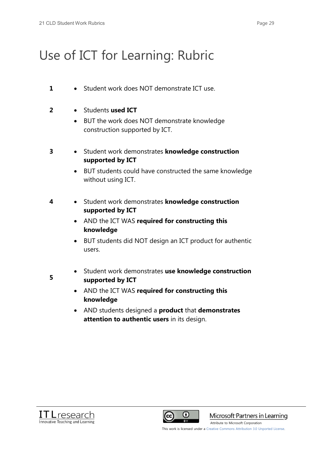## Use of ICT for Learning: Rubric

- 1 Student work does NOT demonstrate ICT use.
- 2 Students **used ICT** 
	- BUT the work does NOT demonstrate knowledge construction supported by ICT.
- **3** Student work demonstrates **knowledge construction supported by ICT**
	- BUT students could have constructed the same knowledge without using ICT.
- **4 Example 3 Student work demonstrates knowledge construction supported by ICT**
	- **•** AND the ICT WAS required for constructing this **knowledge**
	- BUT students did NOT design an ICT product for authentic users.
- **5**
- **•** Student work demonstrates use knowledge construction **supported by ICT**
- **AND the ICT WAS required for constructing this knowledge**
- x AND students designed a **product** that **demonstrates attention to authentic users** in its design.





Microsoft Partners in Learning

[Attribute to Microsoft Corporation](http://www.pil-network.com/)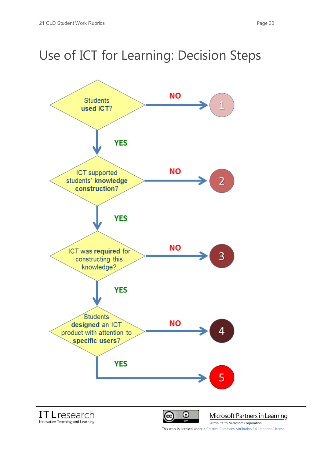## Use of ICT for Learning: Decision Steps

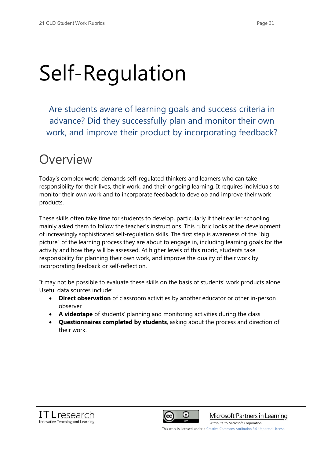# Self-Regulation

Are students aware of learning goals and success criteria in advance? Did they successfully plan and monitor their own work, and improve their product by incorporating feedback?

## Overview

Today's complex world demands self-regulated thinkers and learners who can take responsibility for their lives, their work, and their ongoing learning. It requires individuals to monitor their own work and to incorporate feedback to develop and improve their work products.

These skills often take time for students to develop, particularly if their earlier schooling mainly asked them to follow the teacher's instructions. This rubric looks at the development of increasingly sophisticated self-regulation skills. The first step is awareness of the "big picture" of the learning process they are about to engage in, including learning goals for the activity and how they will be assessed. At higher levels of this rubric, students take responsibility for planning their own work, and improve the quality of their work by incorporating feedback or self-reflection.

It may not be possible to evaluate these skills on the basis of students' work products alone. Useful data sources include:

- **Direct observation** of classroom activities by another educator or other in-person observer
- **A videotape** of students' planning and monitoring activities during the class
- x **Questionnaires completed by students**, asking about the process and direction of their work.





Microsoft Partners in Learning

[Attribute to Microsoft Corporation](http://www.pil-network.com/)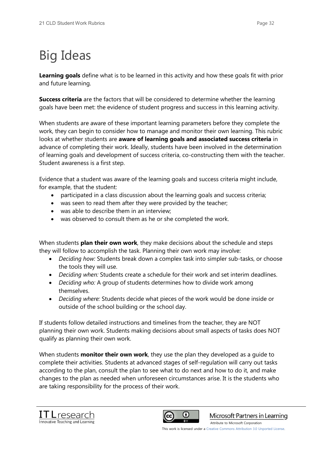## Big Ideas

**Learning goals** define what is to be learned in this activity and how these goals fit with prior and future learning.

**Success criteria** are the factors that will be considered to determine whether the learning goals have been met: the evidence of student progress and success in this learning activity.

When students are aware of these important learning parameters before they complete the work, they can begin to consider how to manage and monitor their own learning. This rubric looks at whether students are **aware of learning goals and associated success criteria** in advance of completing their work. Ideally, students have been involved in the determination of learning goals and development of success criteria, co-constructing them with the teacher. Student awareness is a first step.

Evidence that a student was aware of the learning goals and success criteria might include, for example, that the student:

- x participated in a class discussion about the learning goals and success criteria;
- was seen to read them after they were provided by the teacher;
- $\bullet$  was able to describe them in an interview;
- was observed to consult them as he or she completed the work.

When students **plan their own work**, they make decisions about the schedule and steps they will follow to accomplish the task. Planning their own work may involve:

- *Deciding how:* Students break down a complex task into simpler sub-tasks, or choose the tools they will use.
- *Deciding when:* Students create a schedule for their work and set interim deadlines.
- *Deciding who:* A group of students determines how to divide work among themselves.
- *Deciding where:* Students decide what pieces of the work would be done inside or outside of the school building or the school day.

If students follow detailed instructions and timelines from the teacher, they are NOT planning their own work. Students making decisions about small aspects of tasks does NOT qualify as planning their own work.

When students **monitor their own work**, they use the plan they developed as a guide to complete their activities. Students at advanced stages of self-regulation will carry out tasks according to the plan, consult the plan to see what to do next and how to do it, and make changes to the plan as needed when unforeseen circumstances arise. It is the students who are taking responsibility for the process of their work.





Microsoft Partners in Learning

[Attribute to Microsoft Corporation](http://www.pil-network.com/)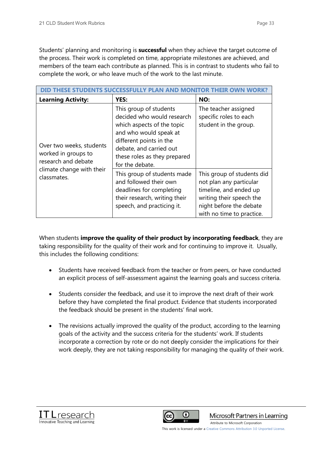Students' planning and monitoring is **successful** when they achieve the target outcome of the process. Their work is completed on time, appropriate milestones are achieved, and members of the team each contribute as planned. This is in contrast to students who fail to complete the work, or who leave much of the work to the last minute.

| <b>Learning Activity:</b>                                              | <b>YES:</b>                                                                                                                                                                                                           | NO:                                                                                                                                                                 |
|------------------------------------------------------------------------|-----------------------------------------------------------------------------------------------------------------------------------------------------------------------------------------------------------------------|---------------------------------------------------------------------------------------------------------------------------------------------------------------------|
| Over two weeks, students<br>worked in groups to<br>research and debate | This group of students<br>decided who would research<br>which aspects of the topic<br>and who would speak at<br>different points in the<br>debate, and carried out<br>these roles as they prepared<br>for the debate. | The teacher assigned<br>specific roles to each<br>student in the group.                                                                                             |
| climate change with their<br>classmates.                               | This group of students made<br>and followed their own<br>deadlines for completing<br>their research, writing their<br>speech, and practicing it.                                                                      | This group of students did<br>not plan any particular<br>timeline, and ended up<br>writing their speech the<br>night before the debate<br>with no time to practice. |

When students **improve the quality of their product by incorporating feedback**, they are taking responsibility for the quality of their work and for continuing to improve it. Usually, this includes the following conditions:

- Students have received feedback from the teacher or from peers, or have conducted an explicit process of self-assessment against the learning goals and success criteria.
- Students consider the feedback, and use it to improve the next draft of their work before they have completed the final product. Evidence that students incorporated the feedback should be present in the students' final work.
- The revisions actually improved the quality of the product, according to the learning goals of the activity and the success criteria for the students' work. If students incorporate a correction by rote or do not deeply consider the implications for their work deeply, they are not taking responsibility for managing the quality of their work.





Microsoft Partners in Learning

[Attribute to Microsoft Corporation](http://www.pil-network.com/)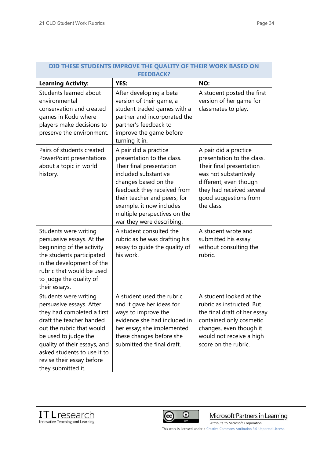| DID THESE STUDENTS IMPROVE THE QUALITY OF THEIR WORK BASED ON<br><b>FEEDBACK?</b>                                                                                                                                                                                                  |                                                                                                                                                                                                                                                                                         |                                                                                                                                                                                                        |
|------------------------------------------------------------------------------------------------------------------------------------------------------------------------------------------------------------------------------------------------------------------------------------|-----------------------------------------------------------------------------------------------------------------------------------------------------------------------------------------------------------------------------------------------------------------------------------------|--------------------------------------------------------------------------------------------------------------------------------------------------------------------------------------------------------|
| <b>Learning Activity:</b>                                                                                                                                                                                                                                                          | <b>YES:</b>                                                                                                                                                                                                                                                                             | NO:                                                                                                                                                                                                    |
| Students learned about<br>environmental<br>conservation and created<br>games in Kodu where<br>players make decisions to<br>preserve the environment.                                                                                                                               | After developing a beta<br>version of their game, a<br>student traded games with a<br>partner and incorporated the<br>partner's feedback to<br>improve the game before<br>turning it in.                                                                                                | A student posted the first<br>version of her game for<br>classmates to play.                                                                                                                           |
| Pairs of students created<br>PowerPoint presentations<br>about a topic in world<br>history.                                                                                                                                                                                        | A pair did a practice<br>presentation to the class.<br>Their final presentation<br>included substantive<br>changes based on the<br>feedback they received from<br>their teacher and peers; for<br>example, it now includes<br>multiple perspectives on the<br>war they were describing. | A pair did a practice<br>presentation to the class.<br>Their final presentation<br>was not substantively<br>different, even though<br>they had received several<br>good suggestions from<br>the class. |
| Students were writing<br>persuasive essays. At the<br>beginning of the activity<br>the students participated<br>in the development of the<br>rubric that would be used<br>to judge the quality of<br>their essays.                                                                 | A student consulted the<br>rubric as he was drafting his<br>essay to guide the quality of<br>his work.                                                                                                                                                                                  | A student wrote and<br>submitted his essay<br>without consulting the<br>rubric.                                                                                                                        |
| Students were writing<br>persuasive essays. After<br>they had completed a first<br>draft the teacher handed<br>out the rubric that would<br>be used to judge the<br>quality of their essays, and<br>asked students to use it to<br>revise their essay before<br>they submitted it. | A student used the rubric<br>and it gave her ideas for<br>ways to improve the<br>evidence she had included in<br>her essay; she implemented<br>these changes before she<br>submitted the final draft.                                                                                   | A student looked at the<br>rubric as instructed. But<br>the final draft of her essay<br>contained only cosmetic<br>changes, even though it<br>would not receive a high<br>score on the rubric.         |

### **DID THESE STUDENTS IMPROVE THE QUALITY OF THEIR WORK BASED ON**





Microsoft Partners in Learning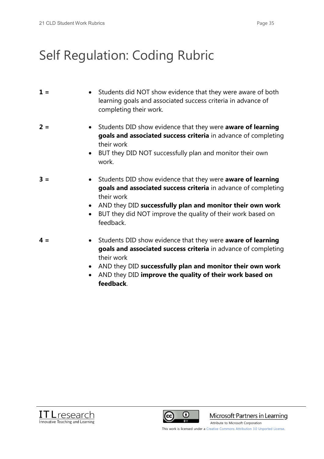## Self Regulation: Coding Rubric

| $1 =$ | • Students did NOT show evidence that they were aware of both<br>learning goals and associated success criteria in advance of<br>completing their work.                                                                                                                                                        |
|-------|----------------------------------------------------------------------------------------------------------------------------------------------------------------------------------------------------------------------------------------------------------------------------------------------------------------|
| $2 =$ | Students DID show evidence that they were aware of learning<br>$\bullet$<br>goals and associated success criteria in advance of completing<br>their work<br>BUT they DID NOT successfully plan and monitor their own<br>$\bullet$<br>work.                                                                     |
| $3 =$ | Students DID show evidence that they were aware of learning<br>$\bullet$<br>goals and associated success criteria in advance of completing<br>their work<br>AND they DID successfully plan and monitor their own work<br>$\bullet$<br>BUT they did NOT improve the quality of their work based on<br>feedback. |
| $4 =$ | Students DID show evidence that they were aware of learning<br>$\bullet$<br>goals and associated success criteria in advance of completing<br>their work                                                                                                                                                       |

- x AND they DID **successfully plan and monitor their own work**
- x AND they DID **improve the quality of their work based on feedback**.





Microsoft Partners in Learning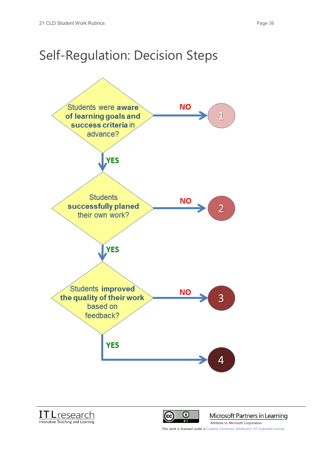## Self-Regulation: Decision Steps







Microsoft Partners in Learning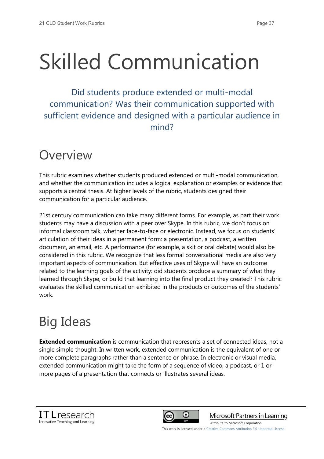# Skilled Communication

Did students produce extended or multi-modal communication? Was their communication supported with sufficient evidence and designed with a particular audience in mind?

## **Overview**

This rubric examines whether students produced extended or multi-modal communication, and whether the communication includes a logical explanation or examples or evidence that supports a central thesis. At higher levels of the rubric, students designed their communication for a particular audience.

21st century communication can take many different forms. For example, as part their work students may have a discussion with a peer over Skype. In this rubric, we don't focus on informal classroom talk, whether face-to-face or electronic. Instead, we focus on students' articulation of their ideas in a permanent form: a presentation, a podcast, a written document, an email, etc. A performance (for example, a skit or oral debate) would also be considered in this rubric. We recognize that less formal conversational media are also very important aspects of communication. But effective uses of Skype will have an outcome related to the learning goals of the activity: did students produce a summary of what they learned through Skype, or build that learning into the final product they created? This rubric evaluates the skilled communication exhibited in the products or outcomes of the students' work.

## Big Ideas

**Extended communication** is communication that represents a set of connected ideas, not a single simple thought. In written work, extended communication is the equivalent of one or more complete paragraphs rather than a sentence or phrase. In electronic or visual media, extended communication might take the form of a sequence of video, a podcast, or 1 or more pages of a presentation that connects or illustrates several ideas.





Microsoft Partners in Learning

This work is licensed under a Creative Commons Attribution 3.0 Unported License.

[Attribute to Microsoft Corporation](http://www.pil-network.com/)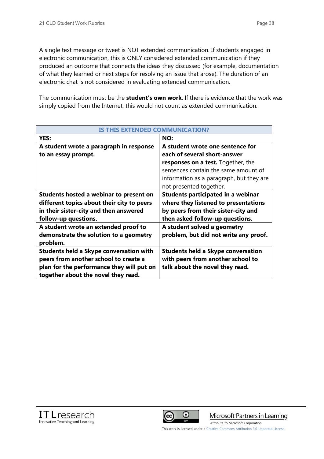A single text message or tweet is NOT extended communication. If students engaged in electronic communication, this is ONLY considered extended communication if they produced an outcome that connects the ideas they discussed (for example, documentation of what they learned or next steps for resolving an issue that arose). The duration of an electronic chat is not considered in evaluating extended communication.

The communication must be the **student's own work**. If there is evidence that the work was simply copied from the Internet, this would not count as extended communication.

| IS THIS EXTENDED COMMUNICATION?                |                                           |  |
|------------------------------------------------|-------------------------------------------|--|
| YES:                                           | NO:                                       |  |
| A student wrote a paragraph in response        | A student wrote one sentence for          |  |
| to an essay prompt.                            | each of several short-answer              |  |
|                                                | <b>responses on a test.</b> Together, the |  |
|                                                | sentences contain the same amount of      |  |
|                                                | information as a paragraph, but they are  |  |
|                                                | not presented together.                   |  |
| Students hosted a webinar to present on        | Students participated in a webinar        |  |
| different topics about their city to peers     | where they listened to presentations      |  |
| in their sister-city and then answered         | by peers from their sister-city and       |  |
| follow-up questions.                           | then asked follow-up questions.           |  |
| A student wrote an extended proof to           | A student solved a geometry               |  |
| demonstrate the solution to a geometry         | problem, but did not write any proof.     |  |
| problem.                                       |                                           |  |
| <b>Students held a Skype conversation with</b> | <b>Students held a Skype conversation</b> |  |
| peers from another school to create a          | with peers from another school to         |  |
| plan for the performance they will put on      | talk about the novel they read.           |  |
| together about the novel they read.            |                                           |  |





Microsoft Partners in Learning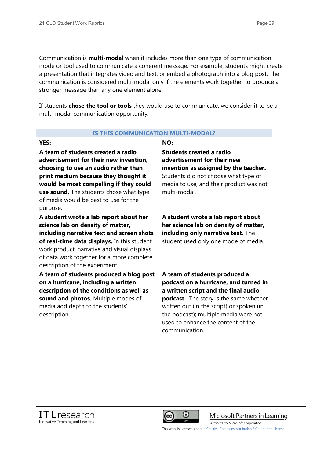Communication is **multi-modal** when it includes more than one type of communication mode or tool used to communicate a coherent message. For example, students might create a presentation that integrates video and text, or embed a photograph into a blog post. The communication is considered multi-modal only if the elements work together to produce a stronger message than any one element alone.

If students **chose the tool or tools** they would use to communicate, we consider it to be a multi-modal communication opportunity.

| <b>IS THIS COMMUNICATION MULTI-MODAL?</b>                                                                                                                                                                                                                                                              |                                                                                                                                                                                                                                                                                                        |  |
|--------------------------------------------------------------------------------------------------------------------------------------------------------------------------------------------------------------------------------------------------------------------------------------------------------|--------------------------------------------------------------------------------------------------------------------------------------------------------------------------------------------------------------------------------------------------------------------------------------------------------|--|
| YES:                                                                                                                                                                                                                                                                                                   | NO:                                                                                                                                                                                                                                                                                                    |  |
| A team of students created a radio<br>advertisement for their new invention,<br>choosing to use an audio rather than<br>print medium because they thought it<br>would be most compelling if they could<br>use sound. The students chose what type<br>of media would be best to use for the<br>purpose. | Students created a radio<br>advertisement for their new<br>invention as assigned by the teacher.<br>Students did not choose what type of<br>media to use, and their product was not<br>multi-modal.                                                                                                    |  |
| A student wrote a lab report about her<br>science lab on density of matter,<br>including narrative text and screen shots<br>of real-time data displays. In this student<br>work product, narrative and visual displays<br>of data work together for a more complete<br>description of the experiment.  | A student wrote a lab report about<br>her science lab on density of matter,<br>including only narrative text. The<br>student used only one mode of media.                                                                                                                                              |  |
| A team of students produced a blog post<br>on a hurricane, including a written<br>description of the conditions as well as<br>sound and photos. Multiple modes of<br>media add depth to the students'<br>description.                                                                                  | A team of students produced a<br>podcast on a hurricane, and turned in<br>a written script and the final audio<br>podcast. The story is the same whether<br>written out (in the script) or spoken (in<br>the podcast); multiple media were not<br>used to enhance the content of the<br>communication. |  |





Microsoft Partners in Learning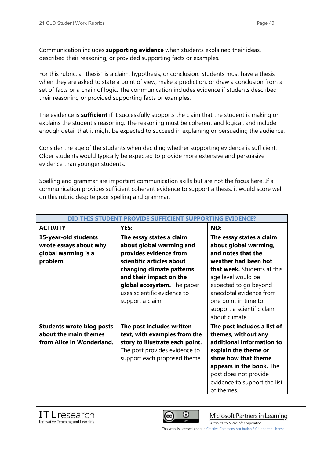Communication includes **supporting evidence** when students explained their ideas, described their reasoning, or provided supporting facts or examples.

For this rubric, a "thesis" is a claim, hypothesis, or conclusion. Students must have a thesis when they are asked to state a point of view, make a prediction, or draw a conclusion from a set of facts or a chain of logic. The communication includes evidence if students described their reasoning or provided supporting facts or examples.

The evidence is **sufficient** if it successfully supports the claim that the student is making or explains the student's reasoning. The reasoning must be coherent and logical, and include enough detail that it might be expected to succeed in explaining or persuading the audience.

Consider the age of the students when deciding whether supporting evidence is sufficient. Older students would typically be expected to provide more extensive and persuasive evidence than younger students.

Spelling and grammar are important communication skills but are not the focus here. If a communication provides sufficient coherent evidence to support a thesis, it would score well on this rubric despite poor spelling and grammar.

| <u>DID THIS STUDENT PROVIDE SUFFICIENT SUPPORTING EVIDENCE?</u>                        |                                                                                                                                                                                                                                                       |                                                                                                                                                                                                                                                                                  |
|----------------------------------------------------------------------------------------|-------------------------------------------------------------------------------------------------------------------------------------------------------------------------------------------------------------------------------------------------------|----------------------------------------------------------------------------------------------------------------------------------------------------------------------------------------------------------------------------------------------------------------------------------|
| <b>ACTIVITY</b>                                                                        | YES:                                                                                                                                                                                                                                                  | NO:                                                                                                                                                                                                                                                                              |
| 15-year-old students<br>wrote essays about why<br>global warming is a<br>problem.      | The essay states a claim<br>about global warming and<br>provides evidence from<br>scientific articles about<br>changing climate patterns<br>and their impact on the<br>global ecosystem. The paper<br>uses scientific evidence to<br>support a claim. | The essay states a claim<br>about global warming,<br>and notes that the<br>weather had been hot<br>that week. Students at this<br>age level would be<br>expected to go beyond<br>anecdotal evidence from<br>one point in time to<br>support a scientific claim<br>about climate. |
| <b>Students wrote blog posts</b><br>about the main themes<br>from Alice in Wonderland. | The post includes written<br>text, with examples from the<br>story to illustrate each point.<br>The post provides evidence to<br>support each proposed theme.                                                                                         | The post includes a list of<br>themes, without any<br>additional information to<br>explain the theme or<br>show how that theme<br>appears in the book. The<br>post does not provide<br>evidence to support the list<br>of themes.                                                |





Microsoft Partners in Learning

[Attribute to Microsoft Corporation](http://www.pil-network.com/)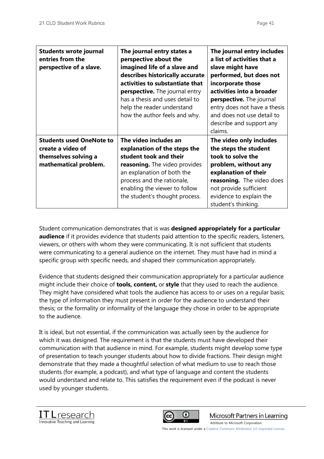| <b>Students wrote journal</b><br>entries from the<br>perspective of a slave.                          | The journal entry states a<br>perspective about the<br>imagined life of a slave and<br>describes historically accurate<br>activities to substantiate that<br><b>perspective.</b> The journal entry<br>has a thesis and uses detail to<br>help the reader understand<br>how the author feels and why. | The journal entry includes<br>a list of activities that a<br>slave might have<br>performed, but does not<br>incorporate those<br>activities into a broader<br>perspective. The journal<br>entry does not have a thesis<br>and does not use detail to<br>describe and support any<br>claims. |
|-------------------------------------------------------------------------------------------------------|------------------------------------------------------------------------------------------------------------------------------------------------------------------------------------------------------------------------------------------------------------------------------------------------------|---------------------------------------------------------------------------------------------------------------------------------------------------------------------------------------------------------------------------------------------------------------------------------------------|
| <b>Students used OneNote to</b><br>create a video of<br>themselves solving a<br>mathematical problem. | The video includes an<br>explanation of the steps the<br>student took and their<br><b>reasoning.</b> The video provides<br>an explanation of both the<br>process and the rationale,<br>enabling the viewer to follow<br>the student's thought process.                                               | The video only includes<br>the steps the student<br>took to solve the<br>problem, without any<br>explanation of their<br>reasoning. The video does<br>not provide sufficient<br>evidence to explain the<br>student's thinking.                                                              |

Student communication demonstrates that is was **designed appropriately for a particular audience** if it provides evidence that students paid attention to the specific readers, listeners, viewers, or others with whom they were communicating. It is not sufficient that students were communicating to a general audience on the internet. They must have had in mind a specific group with specific needs, and shaped their communication appropriately.

Evidence that students designed their communication appropriately for a particular audience might include their choice of **tools, content,** or **style** that they used to reach the audience. They might have considered what tools the audience has access to or uses on a regular basis; the type of information they must present in order for the audience to understand their thesis; or the formality or informality of the language they chose in order to be appropriate to the audience.

It is ideal, but not essential, if the communication was actually seen by the audience for which it was designed. The requirement is that the students must have developed their communication with that audience in mind. For example, students might develop some type of presentation to teach younger students about how to divide fractions. Their design might demonstrate that they made a thoughtful selection of what medium to use to reach those students (for example, a podcast), and what type of language and content the students would understand and relate to. This satisfies the requirement even if the podcast is never used by younger students.





Microsoft Partners in Learning

[Attribute to Microsoft Corporation](http://www.pil-network.com/)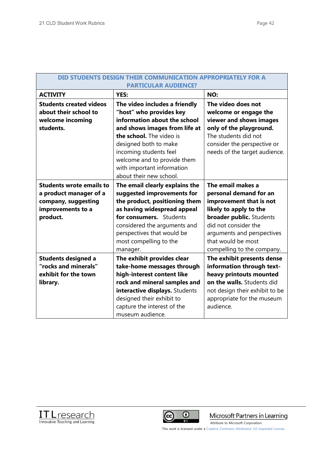| <b>DID STUDENTS DESIGN THEIR</b><br>UNICATION APPROPRIATELY FOR A<br><b>PARTICULAR AUDIENCE?</b>                  |                                                                                                                                                                                                                                                                                                  |                                                                                                                                                                                                                                               |
|-------------------------------------------------------------------------------------------------------------------|--------------------------------------------------------------------------------------------------------------------------------------------------------------------------------------------------------------------------------------------------------------------------------------------------|-----------------------------------------------------------------------------------------------------------------------------------------------------------------------------------------------------------------------------------------------|
| <b>ACTIVITY</b>                                                                                                   | <b>YES:</b>                                                                                                                                                                                                                                                                                      | NO:                                                                                                                                                                                                                                           |
| <b>Students created videos</b><br>about their school to<br>welcome incoming<br>students.                          | The video includes a friendly<br>"host" who provides key<br>information about the school<br>and shows images from life at<br>the school. The video is<br>designed both to make<br>incoming students feel<br>welcome and to provide them<br>with important information<br>about their new school. | The video does not<br>welcome or engage the<br>viewer and shows images<br>only of the playground.<br>The students did not<br>consider the perspective or<br>needs of the target audience.                                                     |
| <b>Students wrote emails to</b><br>a product manager of a<br>company, suggesting<br>improvements to a<br>product. | The email clearly explains the<br>suggested improvements for<br>the product, positioning them<br>as having widespread appeal<br>for consumers. Students<br>considered the arguments and<br>perspectives that would be<br>most compelling to the<br>manager.                                      | The email makes a<br>personal demand for an<br>improvement that is not<br>likely to apply to the<br><b>broader public.</b> Students<br>did not consider the<br>arguments and perspectives<br>that would be most<br>compelling to the company. |
| <b>Students designed a</b><br>"rocks and minerals"<br>exhibit for the town<br>library.                            | The exhibit provides clear<br>take-home messages through<br>high-interest content like<br>rock and mineral samples and<br>interactive displays. Students<br>designed their exhibit to<br>capture the interest of the<br>museum audience.                                                         | The exhibit presents dense<br>information through text-<br>heavy printouts mounted<br>on the walls. Students did<br>not design their exhibit to be<br>appropriate for the museum<br>audience.                                                 |





Microsoft Partners in Learning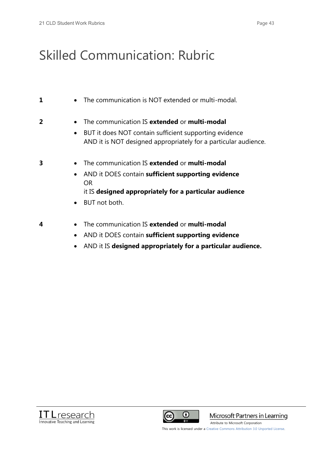## Skilled Communication: Rubric

| 1              | The communication is NOT extended or multi-modal.<br>$\bullet$                                                                                                                                                   |
|----------------|------------------------------------------------------------------------------------------------------------------------------------------------------------------------------------------------------------------|
| $\overline{2}$ | The communication IS extended or multi-modal<br>$\bullet$<br>BUT it does NOT contain sufficient supporting evidence<br>$\bullet$<br>AND it is NOT designed appropriately for a particular audience.              |
| 3              | The communication IS extended or multi-modal<br>$\bullet$<br>AND it DOES contain sufficient supporting evidence<br>$\bullet$<br>OR.<br>it IS designed appropriately for a particular audience<br>• BUT not both. |
| 4              | The communication IS extended or multi-modal<br>$\bullet$<br>AND it DOES contain sufficient supporting evidence                                                                                                  |

x AND it IS **designed appropriately for a particular audience.**





Microsoft Partners in Learning